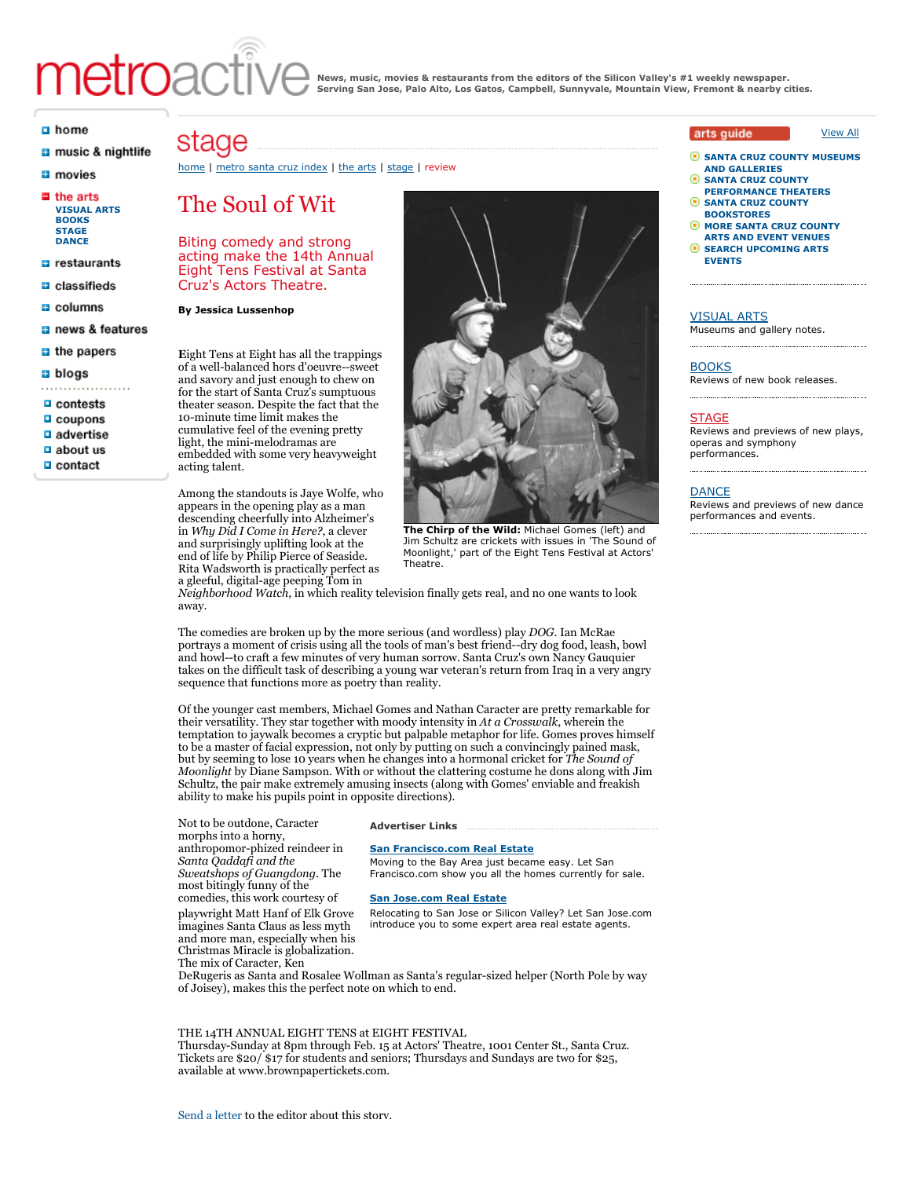# metroact

**News, music, movies & restaurants from the editors of the Silicon Valley's #1 weekly newspaper. Serving San Jose, Palo Alto, Los Gatos, Campbell, Sunnyvale, Mountain View, Fremont & nearby cities.**

#### a home

- a music & nightlife
- **El** movies
- $\blacksquare$  the arts **[VISUAL ARTS](http://www.metroactive.com/the_arts/silicon-valley/visualarts.html) [BOOKS](http://www.metroactive.com/the_arts/silicon-valley/books.html) [STAGE](http://www.metroactive.com/the_arts/silicon-valley/stage.html) [DANCE](http://www.metroactive.com/the_arts/silicon-valley/dance.html)**
- $\Box$  restaurants
- **B** classifieds
- a columns
- a news & features
- $\blacksquare$  the papers
- **a** blogs
- $\Box$  contests
- $\Box$  coupons
- $\Box$  advertise
- $\Box$  about us
- $\Box$  contact

# stage

#### [home](http://www.metroactive.com/index.html) | [metro santa cruz index](http://www.metroactive.com/metro-santa-cruz/01.21.09/index.html) | [the arts](http://www.metroactive.com/the_arts/santa-cruz.html) | [stage](http://www.metroactive.com/the_arts/santa-cruz/stage.html) | review

# The Soul of Wit

Biting comedy and strong acting make the 14th Annual Eight Tens Festival at Santa Cruz's Actors Theatre.

#### **By Jessica Lussenhop**

**E**ight Tens at Eight has all the trappings of a well-balanced hors d'oeuvre--sweet and savory and just enough to chew on for the start of Santa Cruz's sumptuous theater season. Despite the fact that the 10-minute time limit makes the cumulative feel of the evening pretty light, the mini-melodramas are embedded with some very heavyweight acting talent.

Among the standouts is Jaye Wolfe, who appears in the opening play as a man descending cheerfully into Alzheimer's in *Why Did I Come in Here?*, a clever and surprisingly uplifting look at the end of life by Philip Pierce of Seaside. Rita Wadsworth is practically perfect as a gleeful, digital-age peeping Tom in



**The Chirp of the Wild:** Michael Gomes (left) and Jim Schultz are crickets with issues in 'The Sound of Moonlight,' part of the Eight Tens Festival at Actors' Theatre.

*Neighborhood Watch*, in which reality television finally gets real, and no one wants to look away.

The comedies are broken up by the more serious (and wordless) play *DOG*. Ian McRae portrays a moment of crisis using all the tools of man's best friend--dry dog food, leash, bowl and howl--to craft a few minutes of very human sorrow. Santa Cruz's own Nancy Gauquier takes on the difficult task of describing a young war veteran's return from Iraq in a very angry sequence that functions more as poetry than reality.

Of the younger cast members, Michael Gomes and Nathan Caracter are pretty remarkable for their versatility. They star together with moody intensity in *At a Crosswalk*, wherein the temptation to jaywalk becomes a cryptic but palpable metaphor for life. Gomes proves himself to be a master of facial expression, not only by putting on such a convincingly pained mask, but by seeming to lose 10 years when he changes into a hormonal cricket for *The Sound of Moonlight* by Diane Sampson. With or without the clattering costume he dons along with Jim Schultz, the pair make extremely amusing insects (along with Gomes' enviable and freakish ability to make his pupils point in opposite directions).

Not to be outdone, Caracter morphs into a horny, anthropomor-phized reindeer in *Santa Qaddafi and the Sweatshops of Guangdong*. The most bitingly funny of the comedies, this work courtesy of playwright Matt Hanf of Elk Grove imagines Santa Claus as less myth and more man, especially when his Christmas Miracle is globalization. The mix of Caracter, Ken

#### **Advertiser Links**

# **[San Francisco.com Real Estate](http://www.sanfrancisco.com/realestate/)**

Moving to the Bay Area just became easy. Let San Francisco.com show you all the homes currently for sale.

# **[San Jose.com Real Estate](http://www.sanjose.com/realestate/)**

Relocating to San Jose or Silicon Valley? Let San Jose.com introduce you to some expert area real estate agents.

DeRugeris as Santa and Rosalee Wollman as Santa's regular-sized helper (North Pole by way of Joisey), makes this the perfect note on which to end.

### THE 14TH ANNUAL EIGHT TENS at EIGHT FESTIVAL

Thursday-Sunday at 8pm through Feb. 15 at Actors' Theatre, 1001 Center St., Santa Cruz. Tickets are \$20/ \$17 for students and seniors; Thursdays and Sundays are two for \$25, available at www.brownpapertickets.com.

# arts quide

◉ **[SANTA CRUZ COUNTY MUSEUMS](http://calendar.metroactive.com/calendar/LocationSearch.html?category=oid%3A14918&RegionCity=oid%3A5718&searchPhrase=) AND GALLERIES**

[View All](http://www.metroactive.com/the_arts/santa-cruz.html)

- G **SANTA CRUZ COUNTY [PERFORMANCE THEATERS](http://calendar.metroactive.com/calendar/LocationSearch.html?category=oid%3A14919&RegionCity=oid%3A5718&searchPhrase=)**
- Θ **[SANTA CRUZ COUNTY](http://calendar.metroactive.com/calendar/LocationSearch.html?category=oid%3A14927&RegionCity=oid%3A5718&searchPhrase=) BOOKSTORES**
- **[MORE SANTA CRUZ COUNTY](http://calendar.metroactive.com/calendar/LocationSearch.html?category=&RegionCity=oid%3A5718&searchPhrase=) ARTS AND EVENT VENUES**
- **C** [SEARCH UPCOMING ARTS](http://calendar.metroactive.com/calendar/Events?StartDate=All&EventCategory=&RegionCity=oid%3A5718&searchPhrase=) **EVENTS**

# [VISUAL ARTS](http://www.metroactive.com/the_arts/santa-cruz/visualarts.html)

Museums and gallery notes.

#### **[BOOKS](http://www.metroactive.com/the_arts/santa-cruz/books.html)**

Reviews of new book releases.

#### **[STAGE](http://www.metroactive.com/the_arts/santa-cruz/stage.html)**

Reviews and previews of new plays, operas and symphony performances.

# [DANCE](http://www.metroactive.com/the_arts/santa-cruz/dance.html)

Reviews and previews of new dance performances and events.